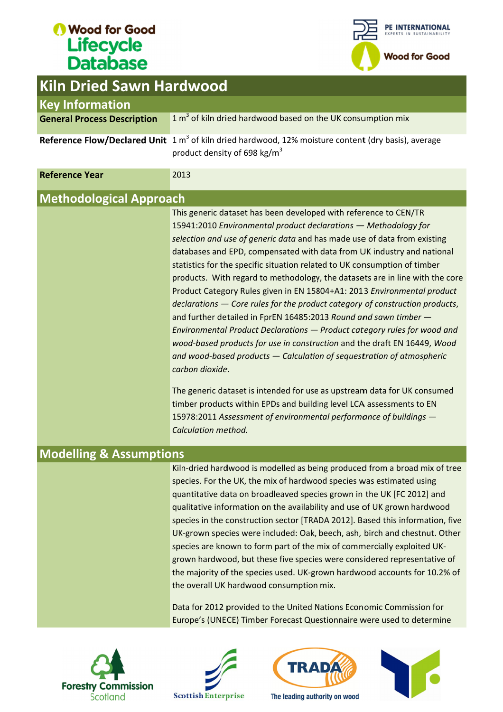

| <b>Kiln Dried Sawn Hardwood</b>    |                                                                                                                                                                                                                                                                                                                                                                                                                                                                                                                                                                                                                                                                                                                                                                                                                                                                                                                                                                                                                         |
|------------------------------------|-------------------------------------------------------------------------------------------------------------------------------------------------------------------------------------------------------------------------------------------------------------------------------------------------------------------------------------------------------------------------------------------------------------------------------------------------------------------------------------------------------------------------------------------------------------------------------------------------------------------------------------------------------------------------------------------------------------------------------------------------------------------------------------------------------------------------------------------------------------------------------------------------------------------------------------------------------------------------------------------------------------------------|
| <b>Key Information</b>             |                                                                                                                                                                                                                                                                                                                                                                                                                                                                                                                                                                                                                                                                                                                                                                                                                                                                                                                                                                                                                         |
| <b>General Process Description</b> | $1 m3$ of kiln dried hardwood based on the UK consumption mix                                                                                                                                                                                                                                                                                                                                                                                                                                                                                                                                                                                                                                                                                                                                                                                                                                                                                                                                                           |
|                                    | Reference Flow/Declared Unit $1 m3$ of kiln dried hardwood, 12% moisture content (dry basis), average<br>product density of 698 kg/m <sup>3</sup>                                                                                                                                                                                                                                                                                                                                                                                                                                                                                                                                                                                                                                                                                                                                                                                                                                                                       |
| <b>Reference Year</b>              | 2013                                                                                                                                                                                                                                                                                                                                                                                                                                                                                                                                                                                                                                                                                                                                                                                                                                                                                                                                                                                                                    |
| <b>Methodological Approach</b>     |                                                                                                                                                                                                                                                                                                                                                                                                                                                                                                                                                                                                                                                                                                                                                                                                                                                                                                                                                                                                                         |
|                                    | This generic dataset has been developed with reference to CEN/TR<br>15941:2010 Environmental product declarations - Methodology for<br>selection and use of generic data and has made use of data from existing<br>databases and EPD, compensated with data from UK industry and national<br>statistics for the specific situation related to UK consumption of timber<br>products. With regard to methodology, the datasets are in line with the core<br>Product Category Rules given in EN 15804+A1: 2013 Environmental product<br>declarations - Core rules for the product category of construction products,<br>and further detailed in FprEN 16485:2013 Round and sawn timber -<br>Environmental Product Declarations - Product category rules for wood and<br>wood-based products for use in construction and the draft EN 16449, Wood<br>and wood-based products $-$ Calculation of sequestration of atmospheric<br>carbon dioxide.<br>The generic dataset is intended for use as upstream data for UK consumed |
|                                    | timber products within EPDs and building level LCA assessments to EN<br>15978:2011 Assessment of environmental performance of buildings -<br>Calculation method.                                                                                                                                                                                                                                                                                                                                                                                                                                                                                                                                                                                                                                                                                                                                                                                                                                                        |
| <b>Modelling &amp; Assumptions</b> |                                                                                                                                                                                                                                                                                                                                                                                                                                                                                                                                                                                                                                                                                                                                                                                                                                                                                                                                                                                                                         |
|                                    | Kiln-dried hardwood is modelled as being produced from a broad mix of tree<br>species. For the UK, the mix of hardwood species was estimated using<br>quantitative data on broadleaved species grown in the UK [FC 2012] and<br>qualitative information on the availability and use of UK grown hardwood<br>species in the construction sector [TRADA 2012]. Based this information, five<br>UK-grown species were included: Oak, beech, ash, birch and chestnut. Other<br>species are known to form part of the mix of commercially exploited UK-<br>grown hardwood, but these five species were considered representative of<br>the majority of the species used. UK-grown hardwood accounts for 10.2% of<br>the overall UK hardwood consumption mix.                                                                                                                                                                                                                                                                 |
|                                    | Data for 2012 provided to the United Nations Economic Commission for<br>Europe's (UNECE) Timber Forecast Questionnaire were used to determine                                                                                                                                                                                                                                                                                                                                                                                                                                                                                                                                                                                                                                                                                                                                                                                                                                                                           |







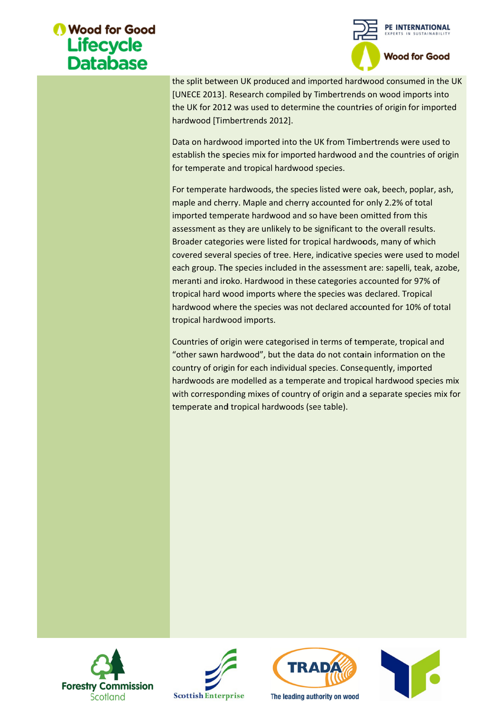

the split between UK produced and imported hardwood consumed in the UK [UNECE 2013]. Research compiled by Timbertrends on wood imports into the UK for 2012 was used to determine the countries of origin for imported hardwood [Timbertrends 2012]. the split between UK produced and imported hardwood consumed in the L<br>[UNECE 2013]. Research compiled by Timbertrends on wood imports into<br>the UK for 2012 was used to determine the countries of origin for imported<br>hardwood

Data on hardwood imported into the UK from Timbertrends were used to Data on hardwood imported into the UK from Timbertrends were used to<br>establish the species mix for imported hardwood and the countries of origin for temperate and tropical hardwood species.

For temperate hardwoods, the species listed were oak, beech, poplar, ash, maple and cherry. Maple and cherry accounted for only 2.2% of total imported temperate hardwood and so have been omitted from this assessment as they are unlikely to be significant to the overall results. imported temperate hardwood and so have been omitted from this assessment as they are unlikely to be significant to the overall results. Broader categories were listed for tropical hardwoods, many of which covered several species of tree. Here, indicative species were used to model each group. The species included in the assessment are: sapelli, teak, azobe, meranti and iroko. Hardwood in these categories accounted for 97% of tropical hard wood imports where the species was declared. meranti and iroko. Hardwood in these categories accounted for 97% of<br>tropical hard wood imports where the species was declared. Tropical<br>hardwood where the species was not declared accounted for 10% of total tropical hardwood imports. Broader categories were listed for tropical hardwoods, many of which<br>covered several species of tree. Here, indicative species were used to m<br>each group. The species included in the assessment are: sapelli, teak, az<br>merant the split between UK produced and imported hardwood consumed in the<br>[UNECE 2013]. Research compiled by Timbertrends on wood imports into<br>[UNECE 2013]. Research compiled by Timbertrends on wood imports into<br>hardwood [Timber erate and tropical hardwood species.<br>
berate hardwoods, the species listed were oak, beech, poplar, ash,<br>
and cherry. Maple and cherry accounted for only 2.2% of total<br>
and temperate hardwood and so have been omitted from then UK produced and imported hardwood consumed in the UK<br>
1. Research compiled by Timbertrends on wood imports into<br>
12 was used to determine the countries of origin for imported<br>
mbertrends 2012].<br>
wood imported into the Data on hardwood imported into the UK from Timbertrends were used to<br>establish the species mix for imported hardwood and the countries of ori<br>for temperate and tropical hardwood species.<br>For temperate and tropical hardwood the split between UK produced and imported hardwood consumed in the UK<br>(UNECE 2013). Research compiled by Timbertrends on wood imports into<br>the UK for 2012 was used to determine the countries of origin for imported<br>hardwoo In hardwood imported into the UK from Timbertrends were used<br>sh the species mix for imported hardwood and the countries of o<br>operate and tropical hardwood species.<br>nperate hardwoods, the species listed were oak, beech, pop covered several species of tree. Here, indicative species were used to model<br>each group. The species included in the assessment are: sapelli, teak, azobe,<br>meranti and iroko. Hardwood in these categories accounted for 97% o the UK for 2012 was used to determine the countries of origin for imported<br>hardwood [Timbertrends 2012].<br>Data on hardwood imported into the UK from Timbertrends were used to<br>establish the species mix for imported hardwood

Countries of origin were categorised in terms of temperate, tropical and "other sawn hardwood", but the data do not contain information on the country of origin for each individual species. Consequently, imported hardwoods are modelled as a temperate and tropical hardwood species mix "other sawn hardwood", but the data do not contain information on the<br>country of origin for each individual species. Consequently, imported<br>hardwoods are modelled as a temperate and tropical hardwood species mix<br>with corre temperate and tropical hardwoods (see table).







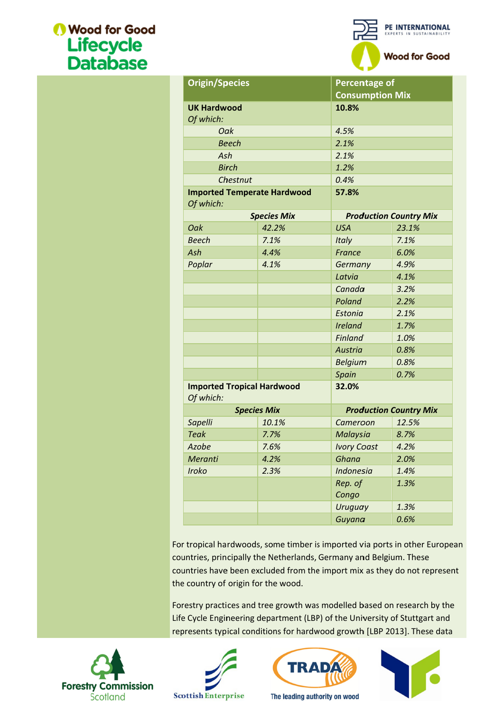

| 10.8%<br>4.5%<br>2.1%<br>2.1%<br>1.2%<br>0.4%<br>57.8%<br><b>USA</b><br>23.1%<br>7.1%<br>Italy<br>6.0%<br>France<br>4.9%<br>Germany<br>Latvia<br>4.1%<br>3.2%<br>Canada<br>Poland<br>2.2%<br>2.1%<br>Estonia<br><b>Ireland</b><br>1.7%<br><b>Finland</b><br>1.0%<br>0.8%<br><b>Austria</b><br><b>Belgium</b><br>0.8%<br>0.7%<br>Spain<br>32.0% |
|------------------------------------------------------------------------------------------------------------------------------------------------------------------------------------------------------------------------------------------------------------------------------------------------------------------------------------------------|
| <b>Production Country Mix</b>                                                                                                                                                                                                                                                                                                                  |
|                                                                                                                                                                                                                                                                                                                                                |
|                                                                                                                                                                                                                                                                                                                                                |
|                                                                                                                                                                                                                                                                                                                                                |
|                                                                                                                                                                                                                                                                                                                                                |
|                                                                                                                                                                                                                                                                                                                                                |
|                                                                                                                                                                                                                                                                                                                                                |
|                                                                                                                                                                                                                                                                                                                                                |
|                                                                                                                                                                                                                                                                                                                                                |
|                                                                                                                                                                                                                                                                                                                                                |
|                                                                                                                                                                                                                                                                                                                                                |
|                                                                                                                                                                                                                                                                                                                                                |
|                                                                                                                                                                                                                                                                                                                                                |
|                                                                                                                                                                                                                                                                                                                                                |
|                                                                                                                                                                                                                                                                                                                                                |
|                                                                                                                                                                                                                                                                                                                                                |
|                                                                                                                                                                                                                                                                                                                                                |
|                                                                                                                                                                                                                                                                                                                                                |
|                                                                                                                                                                                                                                                                                                                                                |
|                                                                                                                                                                                                                                                                                                                                                |
|                                                                                                                                                                                                                                                                                                                                                |
|                                                                                                                                                                                                                                                                                                                                                |
| <b>Production Country Mix</b>                                                                                                                                                                                                                                                                                                                  |
| 12.5%<br>Cameroon                                                                                                                                                                                                                                                                                                                              |
| Malaysia<br>8.7%                                                                                                                                                                                                                                                                                                                               |
| <b>Ivory Coast</b><br>4.2%                                                                                                                                                                                                                                                                                                                     |
| Ghana<br>2.0%                                                                                                                                                                                                                                                                                                                                  |
| <b>Indonesia</b><br>1.4%                                                                                                                                                                                                                                                                                                                       |
|                                                                                                                                                                                                                                                                                                                                                |
| Rep. of<br>1.3%<br>Congo                                                                                                                                                                                                                                                                                                                       |
| 1.3%<br>Uruguay                                                                                                                                                                                                                                                                                                                                |
|                                                                                                                                                                                                                                                                                                                                                |







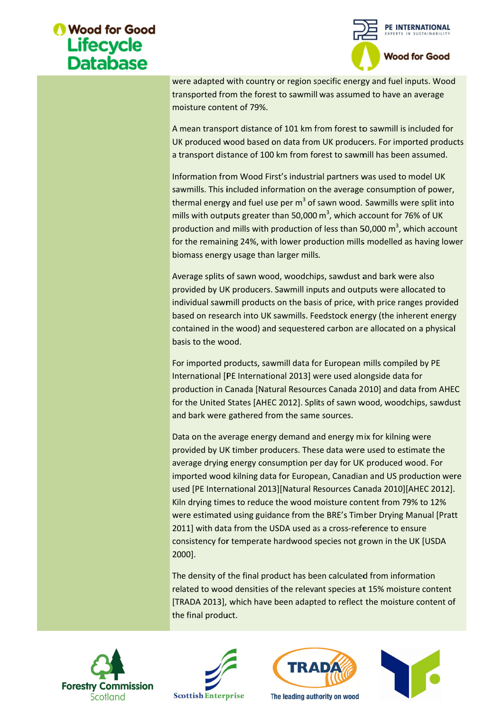

were adapted with country or region specific energy and fuel inputs. Wood<br>transported from the forest to sawmill was assumed to have an average<br>moisture content of 79%.<br>A mean transport distance of 101 km from forest to sa transported from the forest to sawmill was assumed to have an average moisture content of 79%.

A mean transport distance of 101 km from forest to sawmill is included for UK produced wood based on data from UK producers. For imported products<br>a transport distance of 100 km from forest to sawmill has been assumed.<br>Information from Wood First's industrial partners was used to model UK a transport distance of 100 km from forest to sawmill has been assumed.

Information from Wood First's industrial partners was used to model UK sawmills. This included information on the average consumption of power, sawmills. This included information on the average consumption of power,<br>thermal energy and fuel use per m<sup>3</sup> of sawn wood. Sawmills were split into mills with outputs greater than 50,000  $m^3$ , which account for 76% of UK production and mills with production of less than 50,000  $m^3$ , which account for the remaining 24%, with lower production mills modelled as having lower<br>biomass energy usage than larger mills.<br>Average splits of sawn wood, woodchips, sawdust and bark were also<br>provided by UK producers. Sawmill input biomass energy usage than larger mills. moisture content of 79%.<br>A mean transport distance of 101 km from forest to sawmil<br>UK produced wood based on data from UK producers. For<br>a transport distance of 100 km from forest to sawmill has l<br>Information from Wood Fi A mean transport distance of 101 km from forest to sawmill is included for UK produced wood based on data from UK producers. For imported products a transport distance of 100 km from forest to sawmill has been assumed.<br>In

Average splits of sawn wood, woodchips, sawdust and bark were also provided by UK producers. Sawmill inputs and outputs were allocated to individual sawmill products on the basis of price, with price ranges provided based on research into UK sawmills. Feedstock energy (the inherent energy contained in the wood) and sequestered carbon are allocated on a basis to the wood. production and mills with production of less than 50,000 m<sup>3</sup>, which account<br>for the remaining 24%, with lower production mills modelled as having lowe<br>biomass energy usage than larger mills.<br>Average splits of sawn wood, w wood, woodchips, sawdust and bark were also<br>ers. Sawmill inputs and outputs were allocated to<br>ucts on the basis of price, with price ranges provided<br>UK sawmills. Feedstock energy (the inherent energy awmill inputs and outputs were allocated to<br>on the basis of price, with price ranges provided<br>awmills. Feedstock energy (the inherent energy<br>sequestered carbon are allocated on a physical account for 76% of UK<br>50,000 m<sup>3</sup>, which account<br>ls modelled as having lowe<br>is modelled as having lowe<br>in and bark were also<br>tputs were allocated to<br>with price ranges provided<br>ergy (the inherent energy<br>re allocated on a ph

For imported products, sawmill data for European mills compiled by PE International [PE International 2013] were used alongside data for International [PE International 2013] were used alongside data for<br>production in Canada [Natural Resources Canada 2010] and data from AHEC for the United Stat and bark were gathered from the same sources. For imported products, sawmill data for European mills compiled by PE<br>International [PE International 2013] were used alongside data for<br>production in Canada [Natural Resources Canada 2010] and data from *A*<br>for the United contained in the wood) and sequestered carbon are allocated on a physical<br>basis to the wood.<br>For imported products, sawmill data for European mills compiled by PE<br>International [PE International 2013] were used alongside d individual sawmill products on the basis of price, with price ranges provided<br>based on research into UK sawmills. Feedstock energy (the inherent energy<br>contained in the wood) and sequestered carbon are allocated on a physi

Data on the average energy demand and energy mix for kilning were provided by UK timber producers. These data were used to estimate the average drying energy consumption per day for UK produced wood. For provided by UK timber producers. These data were used to estimate the<br>average drying energy consumption per day for UK produced wood. For<br>imported wood kilning data for European, Canadian and US production were used [PE International 2013][Natural Resources Canada 2010][AHEC 2012]. Kiln drying times to reduce the wood moisture content from 79 79% to 12% were estimated using guidance from the BRE's Timber Drying Manual [Pratt 2011] with data from the USDA used as a cross-reference to ensure consistency for temperate hardwood species not grown in the UK [USDA 2000]. Kiln drying times to reduce the wood moisture content<br>were estimated using guidance from the BRE's Timber I<br>2011] with data from the USDA used as a cross-referen were adapted with country or region specific energy and theli inputs. Wood<br>transported from the forest to sawmill was assumed to have an average<br>moisture content of 79%.<br>A mean transport distance of 101 km from forest to s hited States [AHEC 2012]. Splits of sawn wood, woodchips, saw<br>were gathered from the same sources.<br>he average energy demand and energy mix for kilning were<br>by UK timber producers. These data were used to estimate the<br>lryin imported wood kilning data for European, Canadian and US production were<br>used [PE International 2013][Natural Resources Canada 2010][AHEC 2012].<br>Kiln drying times to reduce the wood moisture content from 79% to 12% sport distance of 101 km from forest to sawmill is included for<br>1 wood based on data from UK producers. For imperfed produces<br>1 stistnece of 100 km from forest to sawmill has been assumed.<br>
from Wood First's industrial par es [AHEC 2012]. Splits of sawr<br>nered from the same sources.<br>ge energy demand and energy<br>nber producers. These data wergy consumption per day for and bark were gathered from the same sources.<br>
Data on the average energy demand and energy mix for kilning were<br>
provided by UK timber producers. These data were used to estimate the<br>
average drying energy consumption per were adapted with conutry or region specific energy and fuel inputs. Wood<br>wrasported from the forest to sawmill was assumed to have an average<br>moisture content of 79%.<br>A mean transport distance of 101 km from forest to saw ted wood kilning data for European, Canadian and US production<br>[PE International 2013][Natural Resources Canada 2010][AHEC 20<br>rying times to reduce the wood moisture content from 79% to 12<br>estimated using guidance from the

The density of the final product has been calculated from information consistency for temperate hardwood species not grown in the UK [USDA<br>2000].<br>The density of the final product has been calculated from information<br>related to wood densities of the relevant species at 15% moisture content [TRADA 2013], which have been adapted to reflect the moisture content of [TRADA 2013], which have been adapted reflect content of the final product.







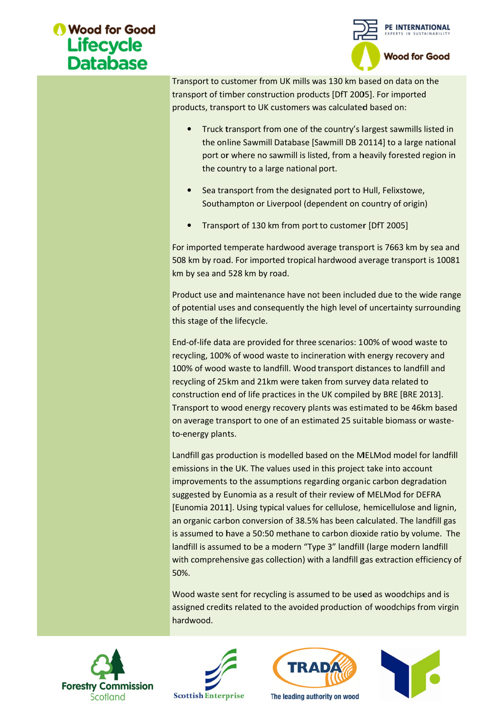

Transport to customer from UK mills was 130 km based Transport to customer from UK mills was 130 km based on data on t<br>transport of timber construction products [DfT 2005]. For imported products, transport to UK customers was calculated based on: products,

- Truck transport from one of the country's largest sawmills listed in rt of timber construction products [DfT 2005]. For imported<br>s, transport to UK customers was calculated based on:<br>Truck transport from one of the country's largest sawmills listed in<br>the online Sawmill Database [Sawmill DB port or where no sawmill is listed, from a heavily forested region in the country to a large national port. Truck transport from one of the country's largest sawmills<br>the online Sawmill Database [Sawmill DB 20114] to a large<br>port or where no sawmill is listed, from a heavily forested i<br>the country to a large national port.<br>Sea t
- Sea transport from the designated port to Hull, Felixstowe,<br>Southampton or Liverpool (dependent on country of origin) Southampton or Liverpool (dependent on country of origin)
- Transp Transport of 130 km from port to customer [DfT 2005]

For imported temperate hardwood average transport is 7663 km by sea and<br>508 km by road. For imported tropical hardwood average transport is 10081 508 km by road. For imported tropical hardwood average transport is 10081 km by sea and 528 km by road.

km by sea and 528 km by road.<br>Product use and maintenance have of potential uses and consequently the high level of uncertainty surrounding this stage of the lifecycle. this stage of the lifecycle. by road. For imported tropical hardwood average transport is 10081<br>be a and 528 km by road.<br>use and maintenance have not been included due to the wide range<br>tial uses and consequently the high level of uncertainty surround For imported temperate hardwood average transport is 7663 km by sea and 508 km by road. For imported tropical hardwood average transport is 10081 km by sea and 528 km by road.<br>Product use and maintenance have not been incl port or where no sawmill is listed, from a heavily forested region in<br>the country to a large national port.<br>**•** Sea transport from the designated port to Hull, Felixstowe,<br>Southampton or Liverpool (dependent on country of

End End-of-life data are provided for three scenarios: 100% of wood waste to End-of-life data are provided for three scenarios: 100% of wood waste to<br>recycling, 100% of wood waste to incineration with energy recovery and 100% of wood waste to landfill. Wood transport distances to landfill and<br>recycling of 25km and 21km were taken from survey data related to recycling of 25km and 21km were taken from survey data related to construction end of life practices in the UK compiled by BRE [BRE 2013]. recycling, 100% of wood waste to incineration with energy recovery and<br>100% of wood waste to landfill. Wood transport distances to landfill and<br>recycling of 25km and 21km were taken from survey data related to<br>construction on average transport to one of an estimated 25 suitable biomass or waste to--energy plants. this stage of the lifecycle.<br>End-of-life data are provided for three scenarios: 100% of wood waste<br>recycling, 100% of wood waste to incineration with energy recovery an energy recovery plants was estimated to be 46km<br>rt to one of an estimated 25 suitable biomass or w<br>ion is modelled based on the MELMod model for l<br>.. The values used in this project take into account 0% of wood waste to incineration with energy recovery and<br>d waste to landfill. Wood transport distances to landfill and<br>5km and 21km were taken from survey data related to<br>end of life practices in the UK compiled by BRE [B 100% of wood waste to landfill. Wood transport distances to landfill and recycling of 25km and 21km were taken from survey data related to construction end of life practices in the UK compiled by BRE [BRE 2013]. Transport ed on data on the<br>
For imported<br>
pased on:<br>
gest sawmills listed in<br>
14] to a large nationa<br>
wily forested region ir<br>
III, Felixstowe,<br>
untry of origin)<br>
DfT 2005]<br>
t is 7663 km by sea an<br>
rage transport is 1008<br>
d due to

Landfill gas production is modelled based on the MELMod model for landfill emissions in the UK. The values used in this project take into account improvements to the assumptions regarding organic carbon degradation suggested by Eunomia as a result of their review of MELMod for DEFRA [Eunomia 2011]. Using typical values for cellulose, hemicellulose and lignin, an organic carbon conversion of 38.5% has been calculated. The landfill gas is assumed to have a 50:50 methane to carbon dioxide ratio by volume. The landfill is assumed to be a modern "Type 3" landfill (large modern landfill landfill is assumed to be a modern "Type 3" landfill (large modern landfill<br>with comprehensive gas collection) with a landfill gas extraction efficiency of 50%. Transport to customer from UK mills was 130 Km based on data on the may as the may a measure to strongtochy customers transport of timeler construction products [OfT 2005]. For imported<br>products, transport for UK customer to-energy plants.<br>Landfill gas production is modelled based on the MELMod model for landfill<br>emissions in the UK. The values used in this project take into account<br>improvements to the assumptions regarding organic carbon d port or where no sawmill is listed, from a heavily forested region in<br>the country to a large national port.<br>Sustanyont from the designated port of Hull, Felixstowe,<br>Sustainapport for the relations of the suspect of the Hul to customer from UK mills was 130 km based on data<br>of thinber construction products [DfT 2005]. For imp<br>transport to UK customers was calculated based on:<br>the transport to UK customers was calculated based on:<br>uck transpor suggested by Eunomia as a result of their review of MELMod for DEFRA<br>[Eunomia 2011]. Using typical values for cellulose, hemicellulose and lignin,<br>an organic carbon conversion of 38.5% has been calculated. The landfill gas Consideration and the used on data on the<br>non-products [DFT 2005]. For imported<br>omers was calculated based on:<br>ne of the country's largest sawmills listed<br>base [Sawmill DB 20114] to a large nation<br>ill is listed, from a hea [Eunomia 2011]. Using typical values for cellulose, hemicellulose and lignin,<br>an organic carbon conversion of 38.5% has been calculated. The landfill gas<br>is assumed to have a 50:50 methane to carbon dioxide ratio by volume al values for cellulose, hemicellulose and lignin,<br>on of 38.5% has been calculated. The landfill gas<br>methane to carbon dioxide ratio by volume. The<br>nodern "Type 3" landfill (large modern landfill<br>lection) with a landfill g

Wood waste sent for recycling is assumed to be used as woodchips and is assigned credits related to the avoided production of woodchips from virgin hardwood.







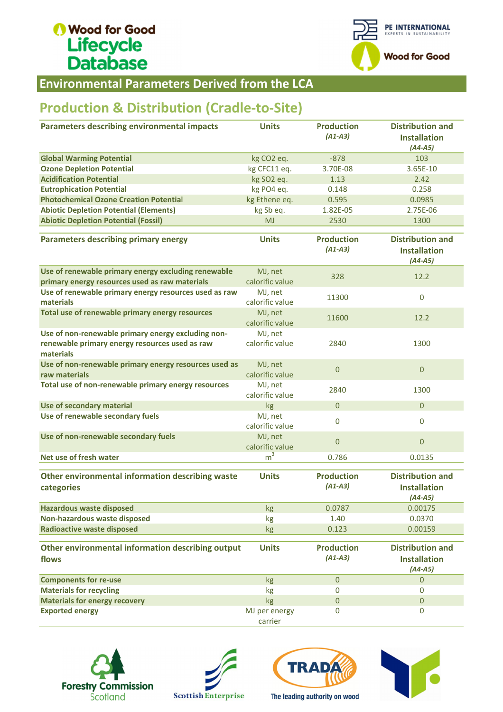

Environmental Parameters Derived from Parameters Derived

## Production & Distribution (Cradle-to-Site)

| <b>Environmental Parameters Derived from the LCA</b>                                                              |                            |                                |                                                             |
|-------------------------------------------------------------------------------------------------------------------|----------------------------|--------------------------------|-------------------------------------------------------------|
| <b>Production &amp; Distribution (Cradle-to-Site)</b>                                                             |                            |                                |                                                             |
| <b>Parameters describing environmental impacts</b>                                                                | <b>Units</b>               | <b>Production</b><br>$(A1-A3)$ | <b>Distribution and</b><br><b>Installation</b><br>$(A4-A5)$ |
| <b>Global Warming Potential</b>                                                                                   | kg CO <sub>2</sub> eq.     | $-878$                         | 103                                                         |
| <b>Ozone Depletion Potential</b>                                                                                  | kg CFC11 eq.               | 3.70E-08                       | 3.65E-10                                                    |
| <b>Acidification Potential</b>                                                                                    | kg SO2 eq.                 | 1.13                           | 2.42                                                        |
| <b>Eutrophication Potential</b>                                                                                   | kg PO4 eq.                 | 0.148                          | 0.258                                                       |
| <b>Photochemical Ozone Creation Potential</b>                                                                     | kg Ethene eq.              | 0.595                          | 0.0985                                                      |
| <b>Abiotic Depletion Potential (Elements)</b>                                                                     | kg Sb eq.                  | 1.82E-05                       | 2.75E-06                                                    |
| <b>Abiotic Depletion Potential (Fossil)</b>                                                                       | <b>MJ</b>                  | 2530                           | 1300                                                        |
| <b>Parameters describing primary energy</b>                                                                       | <b>Units</b>               | <b>Production</b><br>$(A1-A3)$ | <b>Distribution and</b><br><b>Installation</b><br>$(A4-A5)$ |
| Use of renewable primary energy excluding renewable<br>primary energy resources used as raw materials             | MJ, net<br>calorific value | 328                            | 12.2                                                        |
| Use of renewable primary energy resources used as raw<br>materials                                                | MJ, net<br>calorific value | 11300                          | $\pmb{0}$                                                   |
| Total use of renewable primary energy resources                                                                   | MJ, net<br>calorific value | 11600                          | 12.2                                                        |
| Use of non-renewable primary energy excluding non-<br>renewable primary energy resources used as raw<br>materials | MJ, net<br>calorific value | 2840                           | 1300                                                        |
| Use of non-renewable primary energy resources used as<br>raw materials                                            | MJ, net<br>calorific value | $\mathbf{0}$                   | $\pmb{0}$                                                   |
| Total use of non-renewable primary energy resources                                                               | MJ, net<br>calorific value | 2840                           | 1300                                                        |
| Use of secondary material                                                                                         | kg                         | $\mathbf{0}$                   | $\overline{0}$                                              |
| Use of renewable secondary fuels                                                                                  | MJ, net<br>calorific value | $\mathbf 0$                    | $\mathbf 0$                                                 |
| Use of non-renewable secondary fuels                                                                              | MJ, net<br>calorific value | $\mathbf 0$                    | $\overline{0}$                                              |
| Net use of fresh water                                                                                            | m <sup>3</sup>             | 0.786                          | 0.0135                                                      |
| Other environmental information describing waste<br>categories                                                    | <b>Units</b>               | <b>Production</b><br>$(A1-A3)$ | <b>Distribution and</b><br><b>Installation</b><br>$(A4-A5)$ |
| <b>Hazardous waste disposed</b>                                                                                   | kg                         | 0.0787                         | 0.00175                                                     |
| Non-hazardous waste disposed                                                                                      | kg                         | 1.40                           | 0.0370                                                      |
| <b>Radioactive waste disposed</b>                                                                                 | kg                         | 0.123                          | 0.00159                                                     |
| Other environmental information describing output<br>flows                                                        | <b>Units</b>               | <b>Production</b><br>$(A1-A3)$ | <b>Distribution and</b><br><b>Installation</b><br>$(A4-A5)$ |
| <b>Components for re-use</b>                                                                                      | kg                         | $\mathbf{0}$                   | $\mathbf{0}$                                                |
| <b>Materials for recycling</b>                                                                                    | kg                         | $\bf{0}$                       | 0                                                           |
| <b>Materials for energy recovery</b>                                                                              | kg                         | $\boldsymbol{0}$               | $\mathbf{0}$                                                |
| <b>Exported energy</b>                                                                                            | MJ per energy<br>carrier   | 0                              | $\mathbf 0$                                                 |







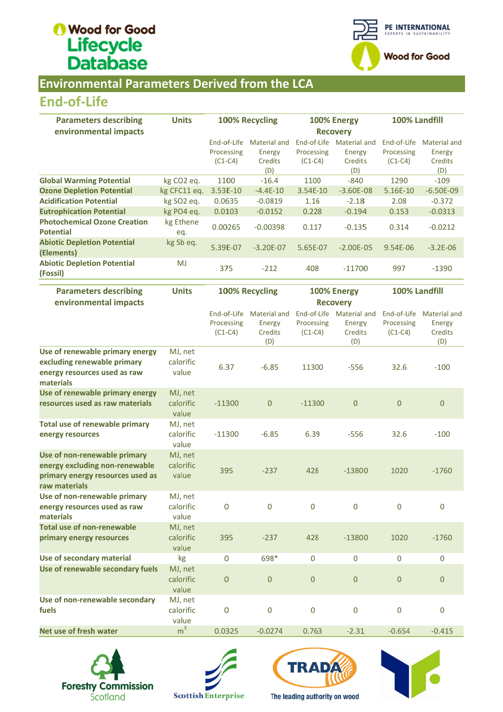

### **Environmental Parameters Derived from the LCA**

### End End-of-Life

| <b>Parameters describing</b>                            | <b>Units</b>           |                 | 100% Recycling |             | 100% Energy   | 100% Landfill |              |  |
|---------------------------------------------------------|------------------------|-----------------|----------------|-------------|---------------|---------------|--------------|--|
| environmental impacts                                   |                        | <b>Recovery</b> |                |             |               |               |              |  |
|                                                         |                        | End-of-Life     | Material and   | End-of-Life | Material and  | End-of-Life   | Material and |  |
|                                                         |                        | Processing      | Energy         | Processing  | Energy        | Processing    | Energy       |  |
|                                                         |                        | $(C1-C4)$       | <b>Credits</b> | $(C1-C4)$   | Credits       | $(C1-C4)$     | Credits      |  |
|                                                         |                        |                 | (D)            |             | (D)           |               | (D)          |  |
| <b>Global Warming Potential</b>                         | kg CO <sub>2</sub> eq. | 1100            | $-16.4$        | 1100        | $-840$        | 1290          | $-109$       |  |
| <b>Ozone Depletion Potential</b>                        | kg CFC11 eq.           | $3.53E-10$      | $-4.4E-10$     | 3.54E-10    | $-3.60E - 08$ | 5.16E-10      | $-6.50E-09$  |  |
| <b>Acidification Potential</b>                          | kg SO <sub>2</sub> eq. | 0.0635          | $-0.0819$      | 1.16        | $-2.18$       | 2.08          | $-0.372$     |  |
| <b>Eutrophication Potential</b>                         | kg PO4 eq.             | 0.0103          | $-0.0152$      | 0.228       | $-0.194$      | 0.153         | $-0.0313$    |  |
| <b>Photochemical Ozone Creation</b><br><b>Potential</b> | kg Ethene<br>eq.       | 0.00265         | $-0.00398$     | 0.117       | $-0.135$      | 0.314         | $-0.0212$    |  |
| <b>Abiotic Depletion Potential</b><br>(Elements)        | kg Sb eq.              | 5.39E-07        | $-3.20E - 07$  | 5.65E-07    | $-2.00E - 05$ | $9.54E - 06$  | $-3.2E - 06$ |  |
| <b>Abiotic Depletion Potential</b><br>(Fossil)          | MJ                     | 375             | $-212$         | 408         | $-11700$      | 997           | $-1390$      |  |
|                                                         |                        |                 |                |             |               |               |              |  |

| <b>End-of-Life</b>                                                                                                  |                               |                                        |                                                 |                                |                                                      |                                        |                                                        |
|---------------------------------------------------------------------------------------------------------------------|-------------------------------|----------------------------------------|-------------------------------------------------|--------------------------------|------------------------------------------------------|----------------------------------------|--------------------------------------------------------|
| <b>Parameters describing</b><br>environmental impacts                                                               | <b>Units</b>                  |                                        | 100% Recycling                                  | 100% Energy<br><b>Recovery</b> |                                                      | 100% Landfill                          |                                                        |
|                                                                                                                     |                               | End-of-Life<br>Processing<br>$(C1-C4)$ | <b>Material and</b><br>Energy<br>Credits<br>(D) | Processing<br>$(C1-C4)$        | End-of-Life Material and<br>Energy<br>Credits<br>(D) | End-of-Life<br>Processing<br>$(C1-C4)$ | <b>Material and</b><br>Energy<br>Credits<br>(D)        |
| <b>Global Warming Potential</b>                                                                                     | kg CO <sub>2</sub> eq.        | 1100                                   | $-16.4$                                         | 1100                           | $-840$                                               | 1290                                   | $-109$                                                 |
| <b>Ozone Depletion Potential</b>                                                                                    | kg CFC11 eq.                  | 3.53E-10                               | $-4.4E-10$                                      | 3.54E-10                       | $-3.60E-08$                                          | 5.16E-10                               | $-6.50E-09$                                            |
| <b>Acidification Potential</b>                                                                                      | kg SO2 eq.                    | 0.0635                                 | $-0.0819$                                       | 1.16                           | $-2.18$                                              | 2.08                                   | $-0.372$                                               |
| <b>Eutrophication Potential</b>                                                                                     | kg PO4 eq.                    | 0.0103                                 | $-0.0152$                                       | 0.228                          | $-0.194$                                             | 0.153                                  | $-0.0313$                                              |
| <b>Photochemical Ozone Creation</b>                                                                                 | kg Ethene                     |                                        |                                                 |                                |                                                      |                                        |                                                        |
| <b>Potential</b>                                                                                                    | eq.                           | 0.00265                                | $-0.00398$                                      | 0.117                          | $-0.135$                                             | 0.314                                  | $-0.0212$                                              |
| <b>Abiotic Depletion Potential</b><br>(Elements)                                                                    | kg Sb eq.                     | 5.39E-07                               | $-3.20E - 07$                                   | 5.65E-07                       | $-2.00E - 05$                                        | 9.54E-06                               | $-3.2E - 06$                                           |
| <b>Abiotic Depletion Potential</b><br>(Fossil)                                                                      | <b>MJ</b>                     | 375                                    | $-212$                                          | 408                            | $-11700$                                             | 997                                    | $-1390$                                                |
| <b>Parameters describing</b><br>environmental impacts                                                               | <b>Units</b>                  |                                        | 100% Recycling                                  |                                | 100% Energy<br><b>Recovery</b>                       | 100% Landfill                          |                                                        |
|                                                                                                                     |                               | End-of-Life<br>Processing<br>$(C1-C4)$ | <b>Material and</b><br>Energy<br>Credits<br>(D) | Processing<br>$(C1-C4)$        | End-of-Life Material and<br>Energy<br>Credits<br>(D) | End-of-Life<br>Processing<br>$(C1-C4)$ | <b>Material and</b><br><b>Energy</b><br>Credits<br>(D) |
| Use of renewable primary energy                                                                                     | MJ, net                       |                                        |                                                 |                                |                                                      |                                        |                                                        |
| excluding renewable primary<br>energy resources used as raw<br>materials                                            | calorific<br>value            | 6.37                                   | $-6.85$                                         | 11300                          | $-556$                                               | 32.6                                   | $-100$                                                 |
| Use of renewable primary energy<br>resources used as raw materials                                                  | MJ, net<br>calorific<br>value | $-11300$                               | $\mathbf{0}$                                    | $-11300$                       | $\mathbf{0}$                                         | $\mathbf 0$                            | $\mathbf{0}$                                           |
| <b>Total use of renewable primary</b><br>energy resources                                                           | MJ, net<br>calorific<br>value | $-11300$                               | $-6.85$                                         | 6.39                           | $-556$                                               | 32.6                                   | $-100$                                                 |
| Use of non-renewable primary<br>energy excluding non-renewable<br>primary energy resources used as<br>raw materials | MJ, net<br>calorific<br>value | 395                                    | $-237$                                          | 428                            | $-13800$                                             | 1020                                   | $-1760$                                                |
| Use of non-renewable primary<br>energy resources used as raw<br>materials                                           | MJ, net<br>calorific<br>value | 0                                      | $\mathbf 0$                                     | $\mathbf 0$                    | $\overline{0}$                                       | $\mathbf 0$                            | $\mathbf 0$                                            |
| <b>Total use of non-renewable</b><br>primary energy resources                                                       | MJ, net<br>calorific<br>value | 395                                    | $-237$                                          | 428                            | $-13800$                                             | 1020                                   | $-1760$                                                |
| Use of secondary material                                                                                           | kg                            | 0                                      | 698*                                            | 0                              | 0                                                    | $\boldsymbol{0}$                       | 0                                                      |
| Use of renewable secondary fuels                                                                                    | MJ, net<br>calorific<br>value | $\mathsf O$                            | $\mathbf{0}$                                    | $\boldsymbol{0}$               | $\boldsymbol{0}$                                     | $\boldsymbol{0}$                       | $\boldsymbol{0}$                                       |
| Use of non-renewable secondary<br>fuels                                                                             | MJ, net<br>calorific<br>value | $\mathsf 0$                            | $\mathbf 0$                                     | $\boldsymbol{0}$               | 0                                                    | $\mathbf 0$                            | 0                                                      |
| Net use of fresh water                                                                                              | m <sup>3</sup>                | 0.0325                                 | $-0.0274$                                       | 0.763                          | $-2.31$                                              | $-0.654$                               | $-0.415$                                               |







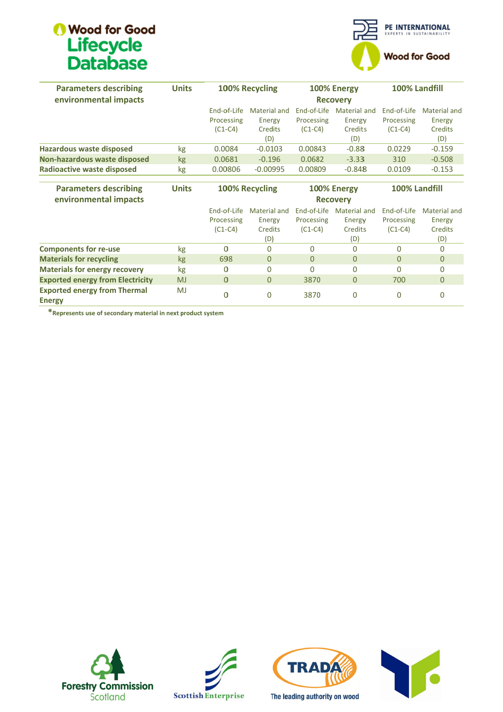

| <b>Parameters describing</b>            | <b>Units</b> |                 | 100% Recycling |             | 100% Energy     | 100% Landfill  |                     |
|-----------------------------------------|--------------|-----------------|----------------|-------------|-----------------|----------------|---------------------|
| environmental impacts                   |              | <b>Recovery</b> |                |             |                 |                |                     |
|                                         |              | End-of-Life     | Material and   | End-of-Life | Material and    | End-of-Life    | Material and        |
|                                         |              | Processing      | Energy         | Processing  | Energy          | Processing     | Energy              |
|                                         |              | $(C1-C4)$       | Credits        | $(C1-C4)$   | <b>Credits</b>  | $(C1-C4)$      | Credits             |
|                                         |              |                 | (D)            |             | (D)             |                | (D)                 |
| Hazardous waste disposed                | kg           | 0.0084          | $-0.0103$      | 0.00843     | $-0.88$         | 0.0229         | $-0.159$            |
| Non-hazardous waste disposed            | <b>kg</b>    | 0.0681          | $-0.196$       | 0.0682      | $-3.33$         | 310            | $-0.508$            |
| <b>Radioactive waste disposed</b>       | kg           | 0.00806         | $-0.00995$     | 0.00809     | $-0.848$        | 0.0109         | $-0.153$            |
|                                         |              |                 |                |             |                 |                |                     |
| <b>Parameters describing</b>            | <b>Units</b> |                 | 100% Recycling |             | 100% Energy     | 100% Landfill  |                     |
| environmental impacts                   |              |                 |                |             | <b>Recovery</b> |                |                     |
|                                         |              | End-of-Life     | Material and   | End-of-Life | Material and    | End-of-Life    | <b>Material and</b> |
|                                         |              | Processing      | Energy         | Processing  | Energy          | Processing     | Energy              |
|                                         |              | $(C1-C4)$       | Credits        | $(C1-C4)$   | Credit:s        | $(C1-C4)$      | Credits             |
|                                         |              |                 | (D)            |             | (D)             |                | (D)                 |
| <b>Components for re-use</b>            | kg           | 0               | $\Omega$       | $\Omega$    | $\Omega$        | 0              | $\Omega$            |
| <b>Materials for recycling</b>          | kg           | 698             | $\Omega$       | $\Omega$    | $\Omega$        | $\overline{0}$ | $\Omega$            |
| <b>Materials for energy recovery</b>    | kg           | $\Omega$        | $\Omega$       | $\Omega$    | 0               | O              | $\Omega$            |
| <b>Exported energy from Electricity</b> | <b>MJ</b>    | $\Omega$        | $\Omega$       | 3870        | $\overline{0}$  | 700            | $\Omega$            |
| <b>Exported energy from Thermal</b>     | MJ           |                 |                |             |                 |                |                     |
| <b>Energy</b>                           |              | 0               | $\mathbf 0$    | 3870        | 0               | 0              | 0                   |

\*Represents use of secondary material in next product system